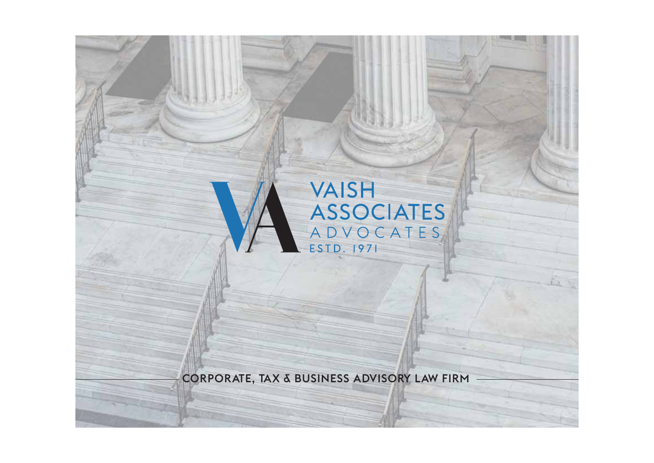## **VAISH ASSOCIATES** ADVOCATES ESTD. 1971

the W

CORPORATE, TAX & BUSINESS ADVISORY LAW FIRM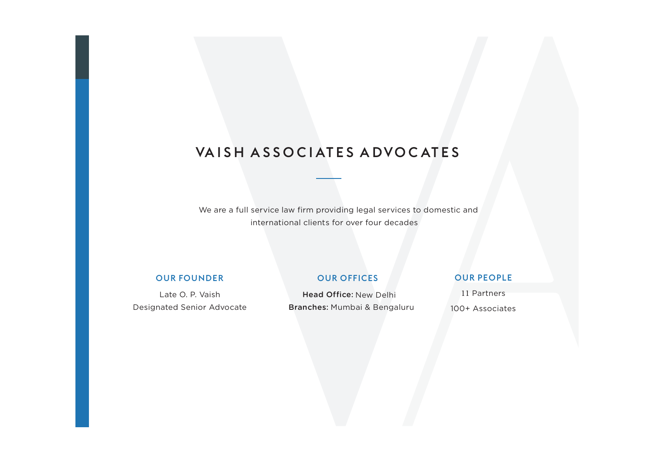## VA I S H A S S O C I AT E S A D V O C AT E S

We are a full service law firm providing legal services to domestic and international clients for over four decades

#### OUR FOUNDER

Late O. P. Vaish Designated Senior Advocate

#### OUR OFFICES

OUR PEOPLE

Head Office: New DelhiBranches: Mumbai & Bengaluru

11 Partners100+ Associates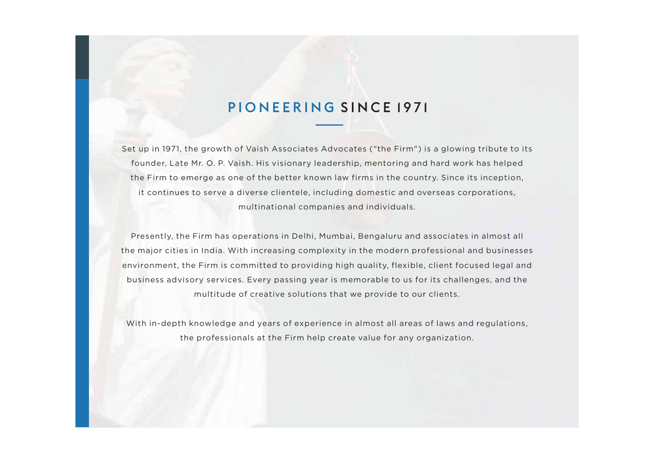## PIONEERING SINCE 1971

Set up in 1971, the growth of Vaish Associates Advocates ("the Firm") is a glowing tribute to its founder, Late Mr. O. P. Vaish. His visionary leadership, mentoring and hard work has helped the Firm to emerge as one of the better known law firms in the country. Since its inception, it continues to serve a diverse clientele, including domestic and overseas corporations, multinational companies and individuals.

Presently, the Firm has operations in Delhi, Mumbai, Bengaluru and associates in almost all the major cities in India. With increasing complexity in the modern professional and businesses environment, the Firm is committed to providing high quality, flexible, client focused legal and business advisory services. Every passing year is memorable to us for its challenges, and the multitude of creative solutions that we provide to our clients.

With in-depth knowledge and years of experience in almost all areas of laws and regulations, the professionals at the Firm help create value for any organization.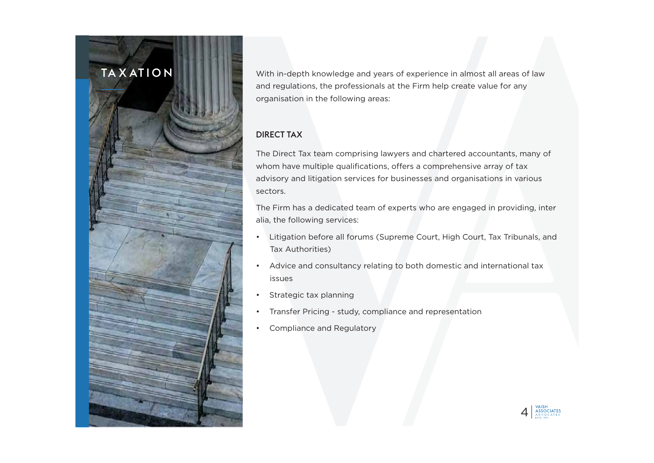## TA X AT I O N

With in-depth knowledge and years of experience in almost all areas of law and regulations, the professionals at the Firm help create value for any organisation in the following areas:

#### DIRECT TAX

The Direct Tax team comprising lawyers and chartered accountants, many of whom have multiple qualifications, offers a comprehensive array of tax advisory and litigation services for businesses and organisations in various sectors.

The Firm has a dedicated team of experts who are engaged in providing, inter alia, the following services:

- • Litigation before all forums (Supreme Court, High Court, Tax Tribunals, and Tax Authorities)
- • Advice and consultancy relating to both domestic and international tax issues
- •Strategic tax planning
- •Transfer Pricing - study, compliance and representation
- •Compliance and Regulatory

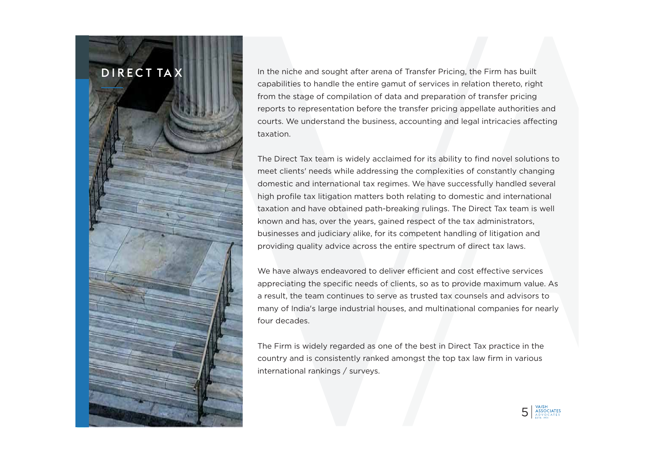### D I R E C T TAX

 In the niche and sought after arena of Transfer Pricing, the Firm has built capabilities to handle the entire gamut of services in relation thereto, right from the stage of compilation of data and preparation of transfer pricing reports to representation before the transfer pricing appellate authorities and courts. We understand the business, accounting and legal intricacies affecting taxation.

The Direct Tax team is widely acclaimed for its ability to find novel solutions to meet clients' needs while addressing the complexities of constantly changing domestic and international tax regimes. We have successfully handled several high profile tax litigation matters both relating to domestic and international taxation and have obtained path-breaking rulings. The Direct Tax team is well known and has, over the years, gained respect of the tax administrators, businesses and judiciary alike, for its competent handling of litigation and providing quality advice across the entire spectrum of direct tax laws.

We have always endeavored to deliver efficient and cost effective services appreciating the specific needs of clients, so as to provide maximum value. As a result, the team continues to serve as trusted tax counsels and advisors to many of India's large industrial houses, and multinational companies for nearly four decades.

The Firm is widely regarded as one of the best in Direct Tax practice in the country and is consistently ranked amongst the top tax law firm in various international rankings / surveys.

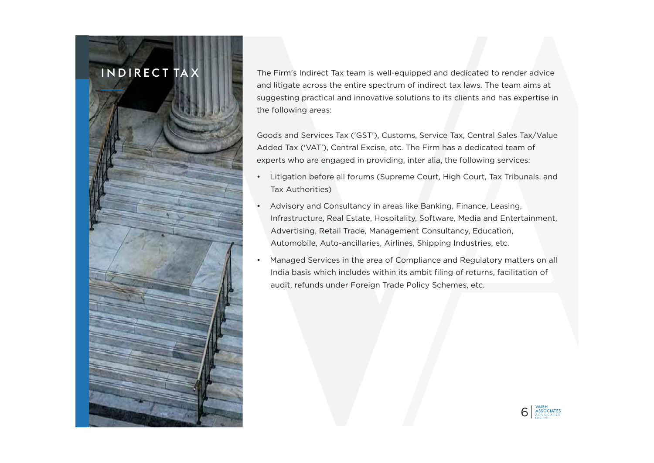## IN D I R E C T TA X

 The Firm's Indirect Tax team is well-equipped and dedicated to render advice and litigate across the entire spectrum of indirect tax laws. The team aims at suggesting practical and innovative solutions to its clients and has expertise in the following areas:

Goods and Services Tax ('GST'), Customs, Service Tax, Central Sales Tax/Value Added Tax ('VAT'), Central Excise, etc. The Firm has a dedicated team of experts who are engaged in providing, inter alia, the following services:

- • Litigation before all forums (Supreme Court, High Court, Tax Tribunals, and Tax Authorities)
- • Advisory and Consultancy in areas like Banking, Finance, Leasing, Infrastructure, Real Estate, Hospitality, Software, Media and Entertainment, Advertising, Retail Trade, Management Consultancy, Education, Automobile, Auto-ancillaries, Airlines, Shipping Industries, etc.
- • Managed Services in the area of Compliance and Regulatory matters on all India basis which includes within its ambit filing of returns, facilitation of audit, refunds under Foreign Trade Policy Schemes, etc.

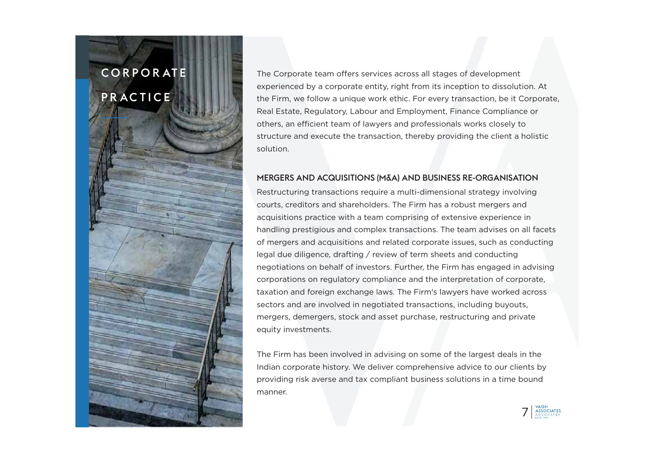# C O R P O R AT E **PRACTICE**

The Corporate team offers services across all stages of development experienced by a corporate entity, right from its inception to dissolution. At the Firm, we follow a unique work ethic. For every transaction, be it Corporate, Real Estate, Regulatory, Labour and Employment, Finance Compliance or others, an efficient team of lawyers and professionals works closely to structure and execute the transaction, thereby providing the client a holistic solution.

#### MERGERS AND ACQUISITIONS (M&A) AND BUSINESS RE-ORGANISATION

Restructuring transactions require a multi-dimensional strategy involving courts, creditors and shareholders. The Firm has a robust mergers and acquisitions practice with a team comprising of extensive experience in handling prestigious and complex transactions. The team advises on all facets of mergers and acquisitions and related corporate issues, such as conducting legal due diligence, drafting / review of term sheets and conducting negotiations on behalf of investors. Further, the Firm has engaged in advising corporations on regulatory compliance and the interpretation of corporate, taxation and foreign exchange laws. The Firm's lawyers have worked across sectors and are involved in negotiated transactions, including buyouts, mergers, demergers, stock and asset purchase, restructuring and private equity investments.

The Firm has been involved in advising on some of the largest deals in the Indian corporate history. We deliver comprehensive advice to our clients by providing risk averse and tax compliant business solutions in a time bound manner.

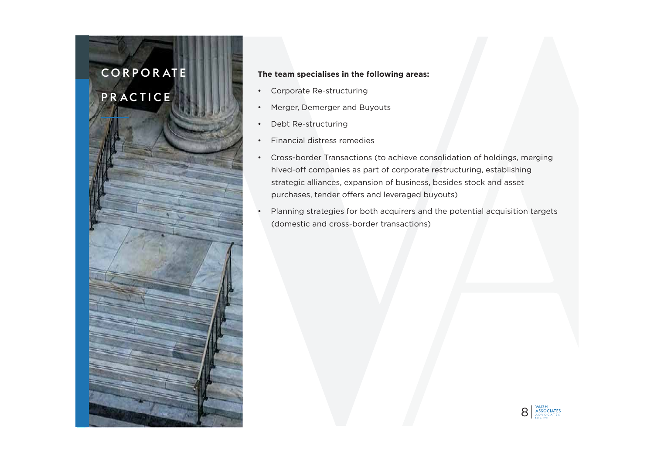### C O R P O R AT E

## PR AC TICE



#### **The team specialises in the following areas:**

- •Corporate Re-structuring
- Merger, Demerger and Buyouts
- Debt Re-structuring
- Financial distress remedies
- Cross-border Transactions (to achieve consolidation of holdings, merging hived-off companies as part of corporate restructuring, establishing strategic alliances, expansion of business, besides stock and asset purchases, tender offers and leveraged buyouts)
- Planning strategies for both acquirers and the potential acquisition targets (domestic and cross-border transactions)

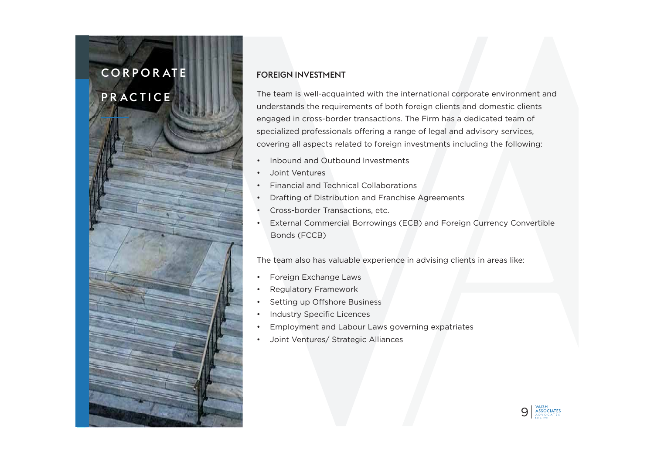# C O R P O R AT E

## PR AC TICE



The team is well-acquainted with the international corporate environment and understands the requirements of both foreign clients and domestic clients engaged in cross-border transactions. The Firm has a dedicated team of specialized professionals offering a range of legal and advisory services, covering all aspects related to foreign investments including the following:

- •Inbound and Outbound Investments
- •Joint Ventures
- •Financial and Technical Collaborations
- •Drafting of Distribution and Franchise Agreements
- •Cross-border Transactions, etc.
- • External Commercial Borrowings (ECB) and Foreign Currency Convertible Bonds (FCCB)

The team also has valuable experience in advising clients in areas like:

- •Foreign Exchange Laws
- •Regulatory Framework
- •Setting up Offshore Business
- •Industry Specific Licences
- •Employment and Labour Laws governing expatriates
- •Joint Ventures/ Strategic Alliances

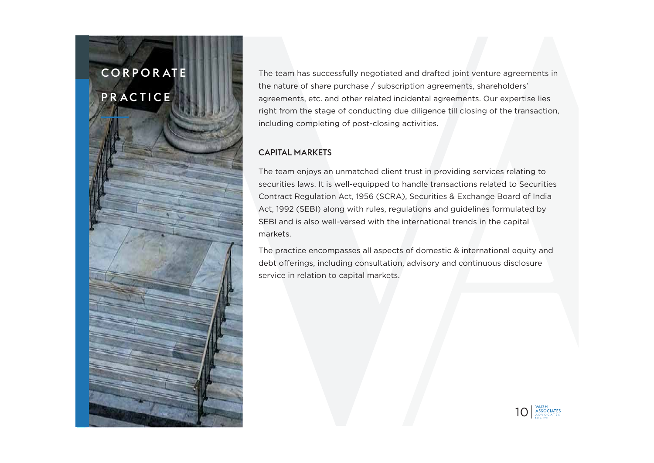# C O R P O R AT E PR AC TICE

The team has successfully negotiated and drafted joint venture agreements in the nature of share purchase / subscription agreements, shareholders' agreements, etc. and other related incidental agreements. Our expertise lies right from the stage of conducting due diligence till closing of the transaction, including completing of post-closing activities.

#### CAPITAL MARKETS

The team enjoys an unmatched client trust in providing services relating to securities laws. It is well-equipped to handle transactions related to Securities Contract Regulation Act, 1956 (SCRA), Securities & Exchange Board of India Act, 1992 (SEBI) along with rules, regulations and guidelines formulated by SEBI and is also well-versed with the international trends in the capital markets.

The practice encompasses all aspects of domestic & international equity and debt offerings, including consultation, advisory and continuous disclosure service in relation to capital markets.

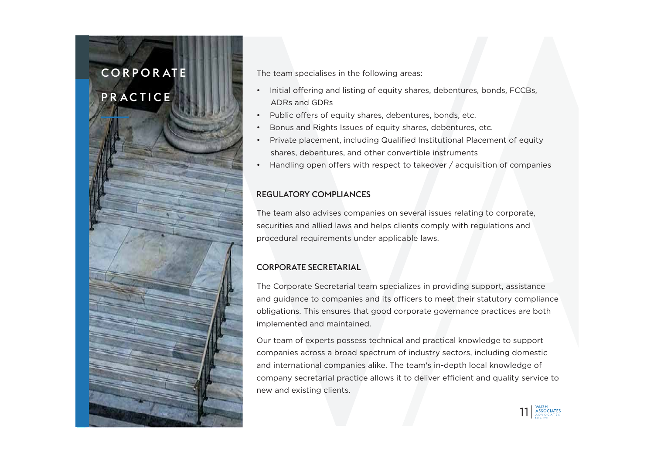## C O R P O R AT E

## **PRACTICE**



- Public offers of equity shares, debentures, bonds, etc.
- •Bonus and Rights Issues of equity shares, debentures, etc.
- • Private placement, including Qualified Institutional Placement of equity shares, debentures, and other convertible instruments
- •Handling open offers with respect to takeover / acquisition of companies

#### REGULATORY COMPLIANCES

The team also advises companies on several issues relating to corporate, securities and allied laws and helps clients comply with regulations and procedural requirements under applicable laws.

#### CORPORATE SECRETARIAL

The Corporate Secretarial team specializes in providing support, assistance and guidance to companies and its officers to meet their statutory compliance obligations. This ensures that good corporate governance practices are both implemented and maintained.

Our team of experts possess technical and practical knowledge to support companies across a broad spectrum of industry sectors, including domestic and international companies alike. The team's in-depth local knowledge of company secretarial practice allows it to deliver efficient and quality service to new and existing clients.

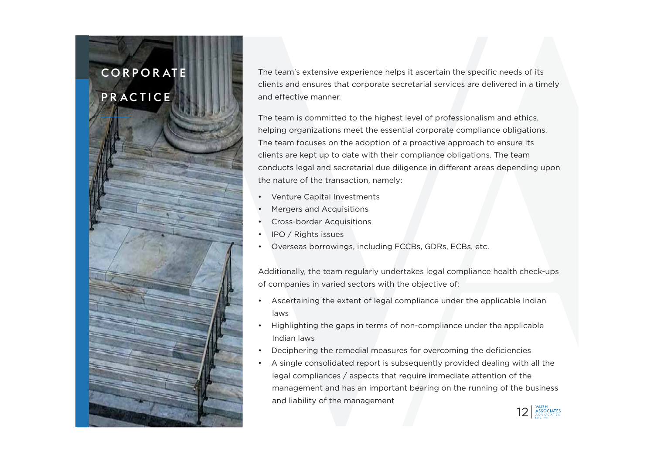# C O R P O R AT E **PRACTICE**

The team's extensive experience helps it ascertain the specific needs of its clients and ensures that corporate secretarial services are delivered in a timely and effective manner.

The team is committed to the highest level of professionalism and ethics, helping organizations meet the essential corporate compliance obligations. The team focuses on the adoption of a proactive approach to ensure its clients are kept up to date with their compliance obligations. The team conducts legal and secretarial due diligence in different areas depending upon the nature of the transaction, namely:

- •Venture Capital Investments
- •Mergers and Acquisitions
- •Cross-border Acquisitions
- •IPO / Rights issues
- •Overseas borrowings, including FCCBs, GDRs, ECBs, etc.

Additionally, the team regularly undertakes legal compliance health check-ups of companies in varied sectors with the objective of:

- • Ascertaining the extent of legal compliance under the applicable Indian laws
- • Highlighting the gaps in terms of non-compliance under the applicable Indian laws
- •Deciphering the remedial measures for overcoming the deficiencies
- • A single consolidated report is subsequently provided dealing with all the legal compliances / aspects that require immediate attention of the management and has an important bearing on the running of the business and liability of the management

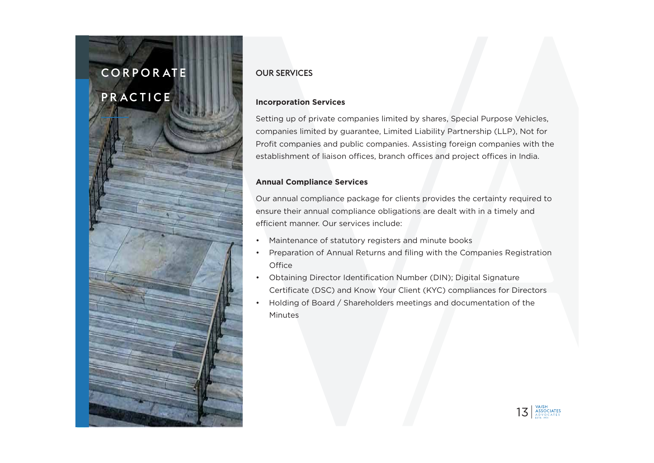## C O R P O R AT E PR AC TICE



#### OUR SERVICES

#### **Incorporation Services**

Setting up of private companies limited by shares, Special Purpose Vehicles, companies limited by guarantee, Limited Liability Partnership (LLP), Not for Profit companies and public companies. Assisting foreign companies with the establishment of liaison offices, branch offices and project offices in India.

#### **Annual Compliance Services**

Our annual compliance package for clients provides the certainty required to ensure their annual compliance obligations are dealt with in a timely and efficient manner. Our services include:

- •Maintenance of statutory registers and minute books
- • Preparation of Annual Returns and filing with the Companies Registration **Office**
- • Obtaining Director Identification Number (DIN); Digital Signature Certificate (DSC) and Know Your Client (KYC) compliances for Directors
- • Holding of Board / Shareholders meetings and documentation of the **Minutes**

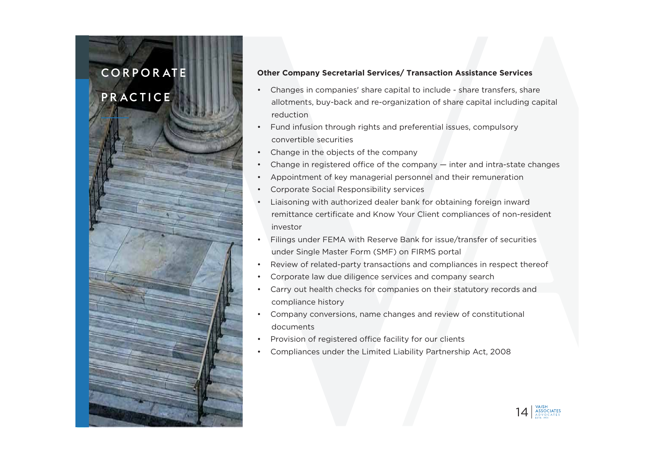## C O R P O R AT E

## **PRACTICE**



- • Changes in companies' share capital to include - share transfers, share allotments, buy-back and re-organization of share capital including capital reduction
- • Fund infusion through rights and preferential issues, compulsory convertible securities
- •Change in the objects of the company
- •Change in registered office of the company — inter and intra-state changes
- •Appointment of key managerial personnel and their remuneration
- •Corporate Social Responsibility services
- • Liaisoning with authorized dealer bank for obtaining foreign inward remittance certificate and Know Your Client compliances of non-resident investor
- • Filings under FEMA with Reserve Bank for issue/transfer of securities under Single Master Form (SMF) on FIRMS portal
- •Review of related-party transactions and compliances in respect thereof
- •Corporate law due diligence services and company search
- • Carry out health checks for companies on their statutory records and compliance history
- • Company conversions, name changes and review of constitutional documents
- •Provision of registered office facility for our clients
- •Compliances under the Limited Liability Partnership Act, 2008

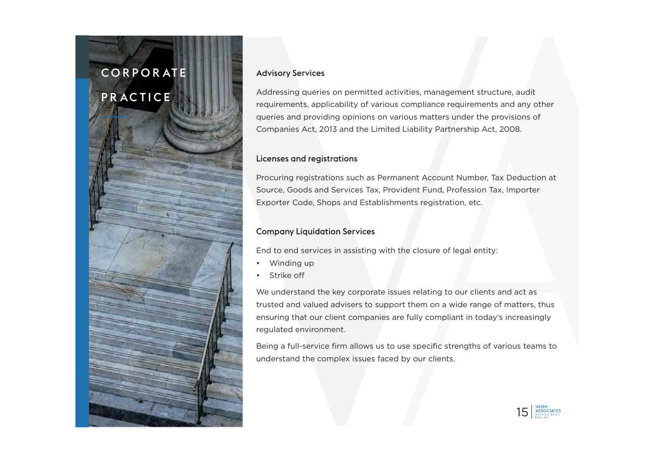# C O R P O R AT E **PRACTICE**



#### Advisory Services

Addressing queries on permitted activities, management structure, audit requirements, applicability of various compliance requirements and any other queries and providing opinions on various matters under the provisions of Companies Act, 2013 and the Limited Liability Partnership Act, 2008.

#### Licenses and registrations

Procuring registrations such as Permanent Account Number, Tax Deduction at Source, Goods and Services Tax, Provident Fund, Profession Tax, Importer Exporter Code, Shops and Establishments registration, etc.

#### Company Liquidation Services

End to end services in assisting with the closure of legal entity:

- •Winding up
- •Strike off

We understand the key corporate issues relating to our clients and act as trusted and valued advisers to support them on a wide range of matters, thus ensuring that our client companies are fully compliant in today's increasingly regulated environment.

Being a full-service firm allows us to use specific strengths of various teams to understand the complex issues faced by our clients.

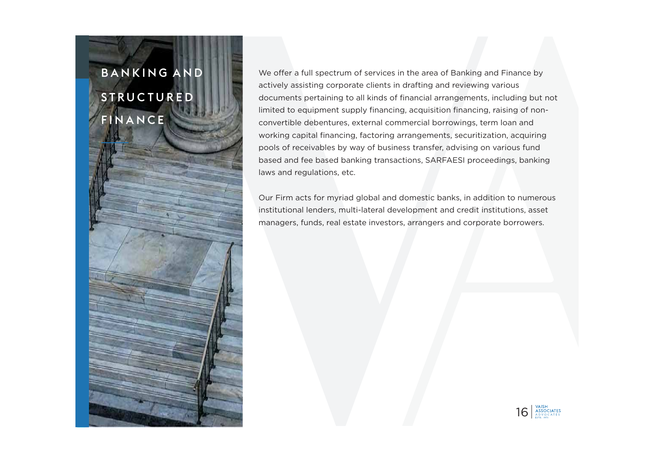# B A N K I N G A N D S T R U C T U R E D FINANCE

We offer a full spectrum of services in the area of Banking and Finance by actively assisting corporate clients in drafting and reviewing various documents pertaining to all kinds of financial arrangements, including but not limited to equipment supply financing, acquisition financing, raising of nonconvertible debentures, external commercial borrowings, term loan and working capital financing, factoring arrangements, securitization, acquiring pools of receivables by way of business transfer, advising on various fund based and fee based banking transactions, SARFAESI proceedings, banking laws and regulations, etc.

Our Firm acts for myriad global and domestic banks, in addition to numerous institutional lenders, multi-lateral development and credit institutions, asset managers, funds, real estate investors, arrangers and corporate borrowers.

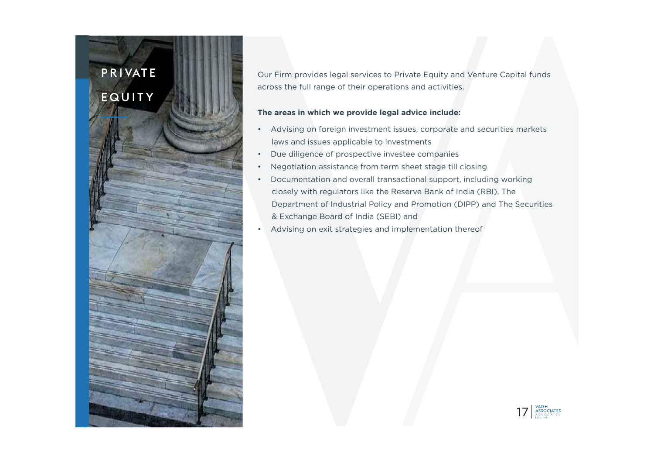# P R I VAT E EQUITY

Our Firm provides legal services to Private Equity and Venture Capital funds across the full range of their operations and activities.

#### **The areas in which we provide legal advice include:**

- • Advising on foreign investment issues, corporate and securities markets laws and issues applicable to investments
- •Due diligence of prospective investee companies
- •Negotiation assistance from term sheet stage till closing
- • Documentation and overall transactional support, including working closely with regulators like the Reserve Bank of India (RBI), The Department of Industrial Policy and Promotion (DIPP) and The Securities & Exchange Board of India (SEBI) and
- •Advising on exit strategies and implementation thereof

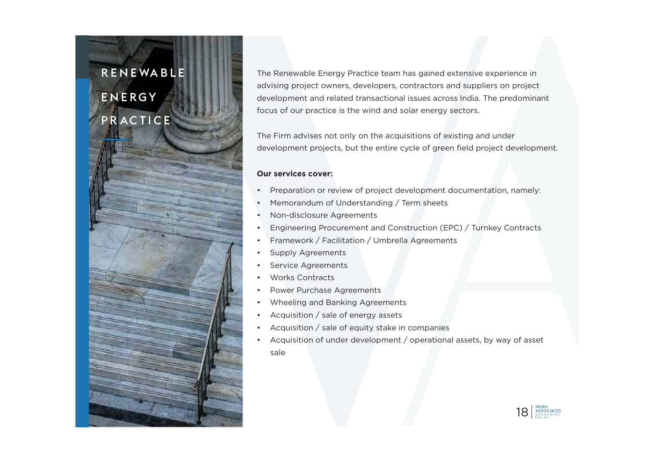### R E N E WA B L E

## E N E R G Y PR AC TICE



The Renewable Energy Practice team has gained extensive experience in advising project owners, developers, contractors and suppliers on project development and related transactional issues across India. The predominant focus of our practice is the wind and solar energy sectors.

The Firm advises not only on the acquisitions of existing and under development projects, but the entire cycle of green field project development.

#### **Our services cover:**

- •Preparation or review of project development documentation, namely:
- •Memorandum of Understanding / Term sheets
- •Non-disclosure Agreements
- •Engineering Procurement and Construction (EPC) / Turnkey Contracts
- •Framework / Facilitation / Umbrella Agreements
- •Supply Agreements
- •Service Agreements
- •Works Contracts
- •Power Purchase Agreements
- •Wheeling and Banking Agreements
- •Acquisition / sale of energy assets
- •Acquisition / sale of equity stake in companies
- • Acquisition of under development / operational assets, by way of asset sale

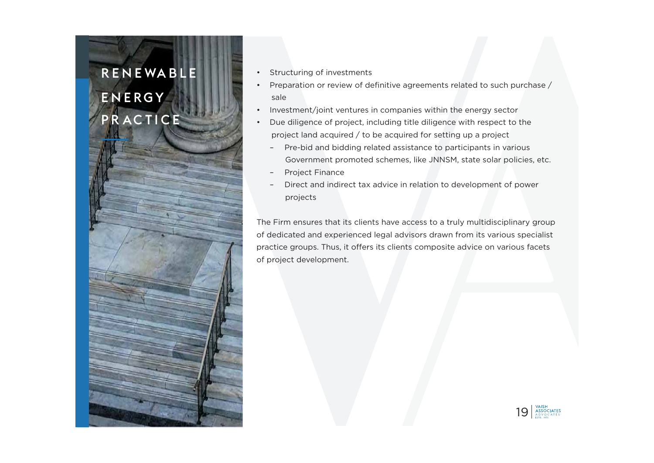# R E N E WA B L E E N E R G Y PR AC TICE

- Structuring of investments
- • Preparation or review of definitive agreements related to such purchase / sale
- Investment/joint ventures in companies within the energy sector
- • Due diligence of project, including title diligence with respect to the project land acquired / to be acquired for setting up a project
	- Pre-bid and bidding related assistance to participants in various Government promoted schemes, like JNNSM, state solar policies, etc.
	- Project Finance
	- Direct and indirect tax advice in relation to development of power projects

The Firm ensures that its clients have access to a truly multidisciplinary group of dedicated and experienced legal advisors drawn from its various specialist practice groups. Thus, it offers its clients composite advice on various facets of project development.

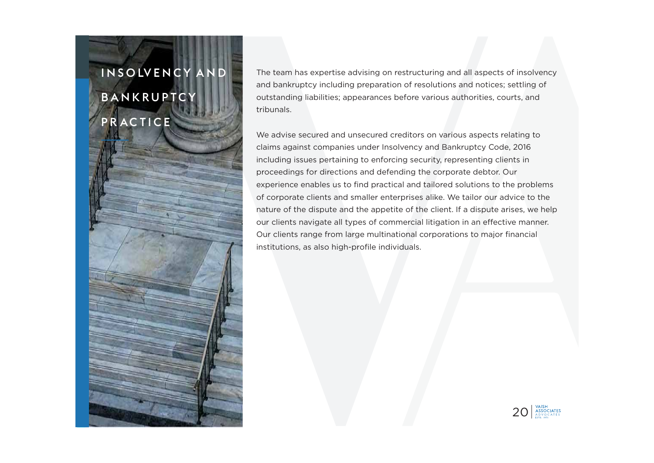# I N S O LV E N C Y A N D **BANKRUPTCY PRACTICE**

The team has expertise advising on restructuring and all aspects of insolvency and bankruptcy including preparation of resolutions and notices; settling of outstanding liabilities; appearances before various authorities, courts, and tribunals.

We advise secured and unsecured creditors on various aspects relating to claims against companies under Insolvency and Bankruptcy Code, 2016 including issues pertaining to enforcing security, representing clients in proceedings for directions and defending the corporate debtor. Our experience enables us to find practical and tailored solutions to the problems of corporate clients and smaller enterprises alike. We tailor our advice to the nature of the dispute and the appetite of the client. If a dispute arises, we help our clients navigate all types of commercial litigation in an effective manner. Our clients range from large multinational corporations to major financial institutions, as also high-profile individuals.

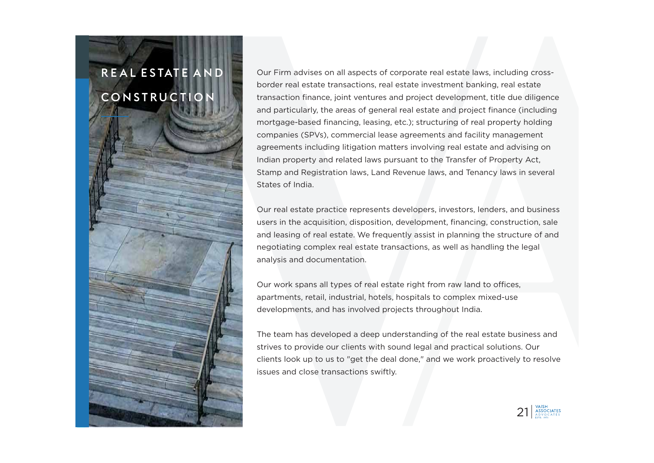# R E A L E S TAT E A N D CONSTRUCTION

Our Firm advises on all aspects of corporate real estate laws, including crossborder real estate transactions, real estate investment banking, real estate transaction finance, joint ventures and project development, title due diligence and particularly, the areas of general real estate and project finance (including mortgage-based financing, leasing, etc.); structuring of real property holding companies (SPVs), commercial lease agreements and facility management agreements including litigation matters involving real estate and advising on Indian property and related laws pursuant to the Transfer of Property Act, Stamp and Registration laws, Land Revenue laws, and Tenancy laws in several States of India.

Our real estate practice represents developers, investors, lenders, and business users in the acquisition, disposition, development, financing, construction, sale and leasing of real estate. We frequently assist in planning the structure of and negotiating complex real estate transactions, as well as handling the legal analysis and documentation.

Our work spans all types of real estate right from raw land to offices, apartments, retail, industrial, hotels, hospitals to complex mixed-use developments, and has involved projects throughout India.

The team has developed a deep understanding of the real estate business and strives to provide our clients with sound legal and practical solutions. Our clients look up to us to "get the deal done," and we work proactively to resolve issues and close transactions swiftly.

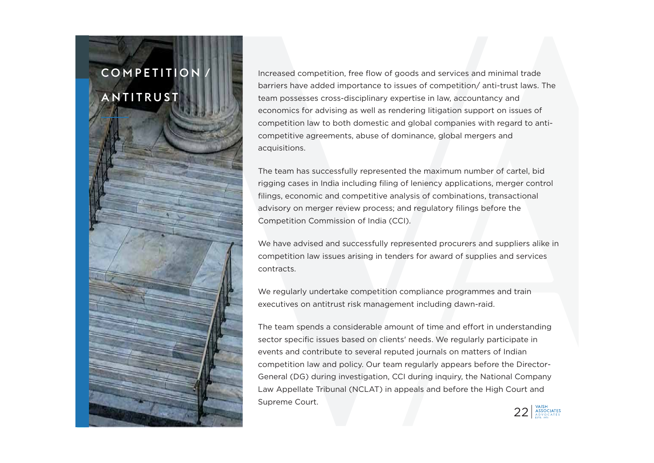# COMPETITION ANTITRUST

Increased competition, free flow of goods and services and minimal trade barriers have added importance to issues of competition/ anti-trust laws. The team possesses cross-disciplinary expertise in law, accountancy and economics for advising as well as rendering litigation support on issues of competition law to both domestic and global companies with regard to anticompetitive agreements, abuse of dominance, global mergers and acquisitions.

The team has successfully represented the maximum number of cartel, bid rigging cases in India including filing of leniency applications, merger control filings, economic and competitive analysis of combinations, transactional advisory on merger review process; and regulatory filings before the Competition Commission of India (CCI).

We have advised and successfully represented procurers and suppliers alike in competition law issues arising in tenders for award of supplies and services contracts.

We regularly undertake competition compliance programmes and train executives on antitrust risk management including dawn-raid.

The team spends a considerable amount of time and effort in understanding sector specific issues based on clients' needs. We regularly participate in events and contribute to several reputed journals on matters of Indian competition law and policy. Our team regularly appears before the Director-General (DG) during investigation, CCI during inquiry, the National Company Law Appellate Tribunal (NCLAT) in appeals and before the High Court and Supreme Court.

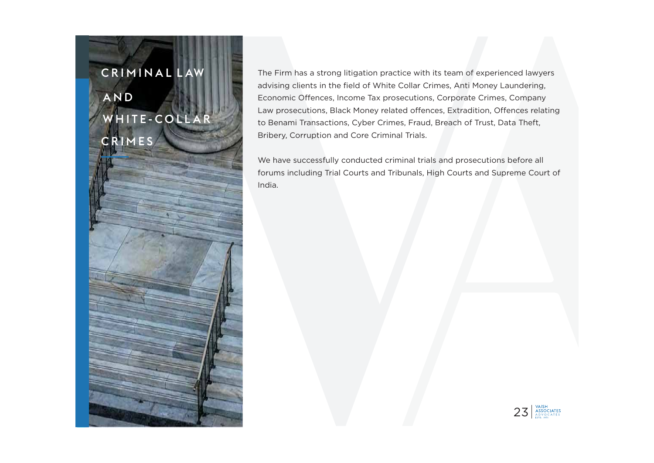## C R I M I N A L L AW

## A N D W H I T E - C O L L A R CRIMES

The Firm has a strong litigation practice with its team of experienced lawyers advising clients in the field of White Collar Crimes, Anti Money Laundering, Economic Offences, Income Tax prosecutions, Corporate Crimes, Company Law prosecutions, Black Money related offences, Extradition, Offences relating to Benami Transactions, Cyber Crimes, Fraud, Breach of Trust, Data Theft, Bribery, Corruption and Core Criminal Trials.

We have successfully conducted criminal trials and prosecutions before all forums including Trial Courts and Tribunals, High Courts and Supreme Court of India.

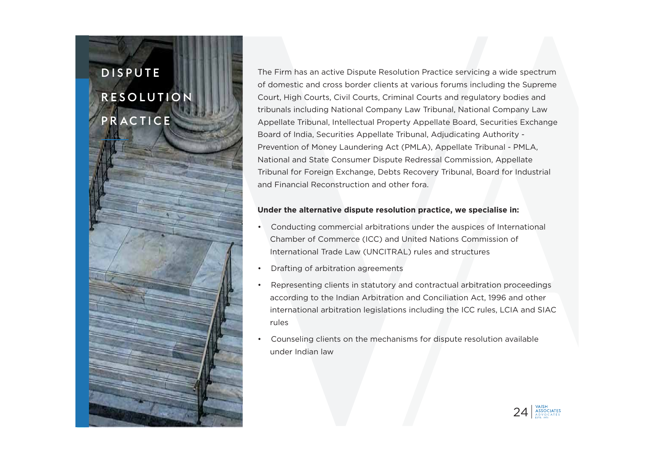# D I S P U T E **RESOLUTION** PR AC TICE



The Firm has an active Dispute Resolution Practice servicing a wide spectrum of domestic and cross border clients at various forums including the Supreme Court, High Courts, Civil Courts, Criminal Courts and regulatory bodies and tribunals including National Company Law Tribunal, National Company Law Appellate Tribunal, Intellectual Property Appellate Board, Securities Exchange Board of India, Securities Appellate Tribunal, Adjudicating Authority - Prevention of Money Laundering Act (PMLA), Appellate Tribunal - PMLA, National and State Consumer Dispute Redressal Commission, Appellate Tribunal for Foreign Exchange, Debts Recovery Tribunal, Board for Industrial and Financial Reconstruction and other fora.

#### **Under the alternative dispute resolution practice, we specialise in:**

- • Conducting commercial arbitrations under the auspices of International Chamber of Commerce (ICC) and United Nations Commission of International Trade Law (UNCITRAL) rules and structures
- •Drafting of arbitration agreements
- • Representing clients in statutory and contractual arbitration proceedings according to the Indian Arbitration and Conciliation Act, 1996 and other international arbitration legislations including the ICC rules, LCIA and SIAC rules
- • Counseling clients on the mechanisms for dispute resolution available under Indian law

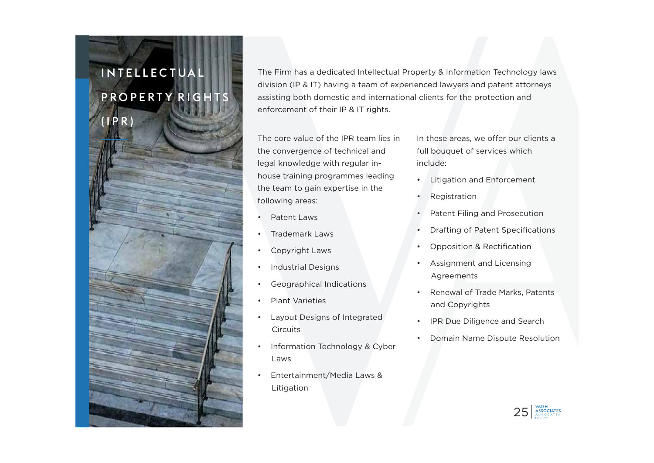# I N T E L L E C T UA L P R O P E R T Y R I G H T S

(IPR)

The Firm has a dedicated Intellectual Property & Information Technology laws division (IP & IT) having a team of experienced lawyers and patent attorneys assisting both domestic and international clients for the protection and enforcement of their IP & IT rights.

The core value of the IPR team lies in the convergence of technical and legal knowledge with regular inhouse training programmes leading the team to gain expertise in the following areas:

- •Patent Laws
- •Trademark Laws
- •Copyright Laws
- •Industrial Designs
- •Geographical Indications
- •Plant Varieties
- • Layout Designs of Integrated Circuits
- • Information Technology & Cyber Laws
- • Entertainment/Media Laws & Litigation

In these areas, we offer our clients a full bouquet of services which include:

- •Litigation and Enforcement
- •Registration
- •Patent Filing and Prosecution
- •Drafting of Patent Specifications
- •Opposition & Rectification
- • Assignment and Licensing Agreements
- • Renewal of Trade Marks, Patents and Copyrights
- •IPR Due Diligence and Search
- •Domain Name Dispute Resolution

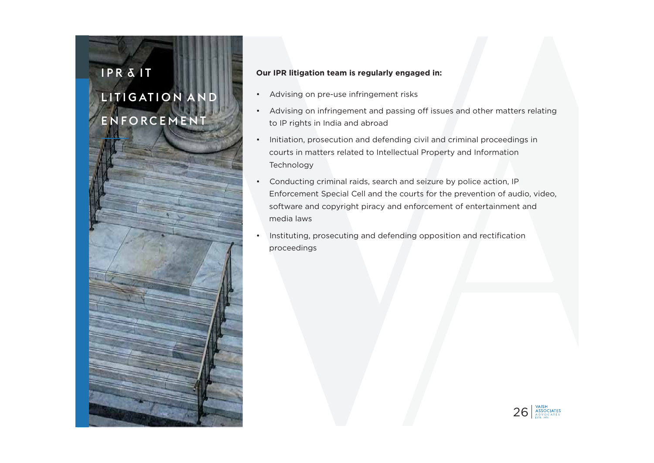# I P R & I T

# L I T I G AT I O N A N D ENFORCEMENT



- •Advising on pre-use infringement risks
- • Advising on infringement and passing off issues and other matters relating to IP rights in India and abroad
- • Initiation, prosecution and defending civil and criminal proceedings in courts in matters related to Intellectual Property and Information Technology
- • Conducting criminal raids, search and seizure by police action, IP Enforcement Special Cell and the courts for the prevention of audio, video, software and copyright piracy and enforcement of entertainment and media laws
- • Instituting, prosecuting and defending opposition and rectification proceedings

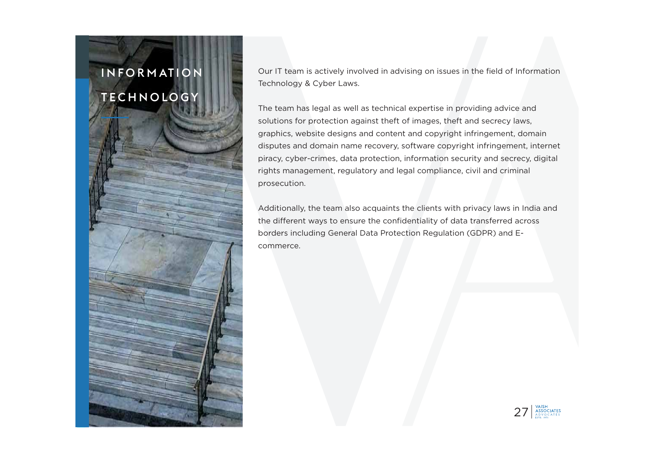# I N F O R M AT I O N TECHNOLOGY

Our IT team is actively involved in advising on issues in the field of Information Technology & Cyber Laws.

The team has legal as well as technical expertise in providing advice and solutions for protection against theft of images, theft and secrecy laws, graphics, website designs and content and copyright infringement, domain disputes and domain name recovery, software copyright infringement, internet piracy, cyber-crimes, data protection, information security and secrecy, digital rights management, regulatory and legal compliance, civil and criminal prosecution.

Additionally, the team also acquaints the clients with privacy laws in India and the different ways to ensure the confidentiality of data transferred across borders including General Data Protection Regulation (GDPR) and Ecommerce.

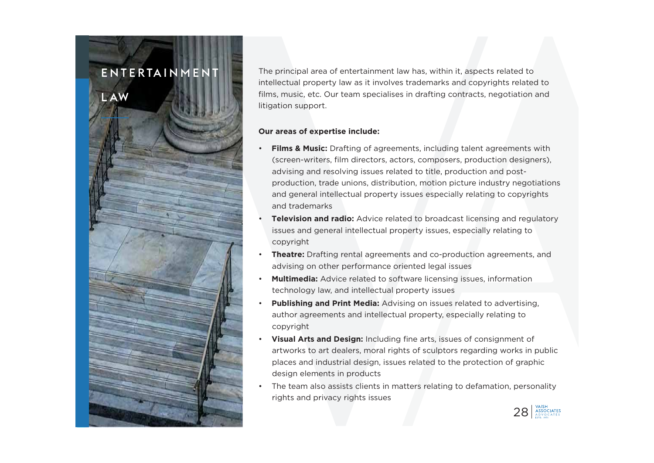### E N T E R TA I N M E N T

L AW

The principal area of entertainment law has, within it, aspects related to intellectual property law as it involves trademarks and copyrights related to films, music, etc. Our team specialises in drafting contracts, negotiation and litigation support.

#### **Our areas of expertise include:**

- • **Films & Music:** Drafting of agreements, including talent agreements with (screen-writers, film directors, actors, composers, production designers), advising and resolving issues related to title, production and postproduction, trade unions, distribution, motion picture industry negotiations and general intellectual property issues especially relating to copyrights and trademarks
- • **Television and radio:** Advice related to broadcast licensing and regulatory issues and general intellectual property issues, especially relating to copyright
- • **Theatre:** Drafting rental agreements and co-production agreements, and advising on other performance oriented legal issues
- • **Multimedia:** Advice related to software licensing issues, information technology law, and intellectual property issues
- • **Publishing and Print Media:** Advising on issues related to advertising, author agreements and intellectual property, especially relating to copyright
- • **Visual Arts and Design:** Including fine arts, issues of consignment of artworks to art dealers, moral rights of sculptors regarding works in public places and industrial design, issues related to the protection of graphic design elements in products
- • The team also assists clients in matters relating to defamation, personality rights and privacy rights issues

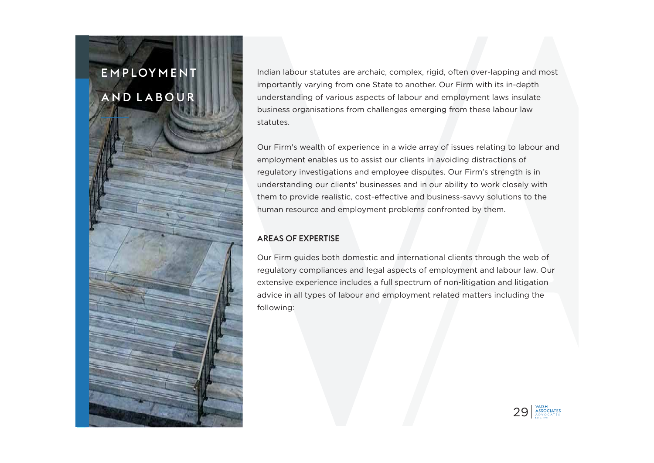Indian labour statutes are archaic, complex, rigid, often over-lapping and most importantly varying from one State to another. Our Firm with its in-depth understanding of various aspects of labour and employment laws insulate business organisations from challenges emerging from these labour law statutes.

Our Firm's wealth of experience in a wide array of issues relating to labour and employment enables us to assist our clients in avoiding distractions of regulatory investigations and employee disputes. Our Firm's strength is in understanding our clients' businesses and in our ability to work closely with them to provide realistic, cost-effective and business-savvy solutions to the human resource and employment problems confronted by them.

#### AREAS OF EXPERTISE

Our Firm guides both domestic and international clients through the web of regulatory compliances and legal aspects of employment and labour law. Our extensive experience includes a full spectrum of non-litigation and litigation advice in all types of labour and employment related matters including the following:

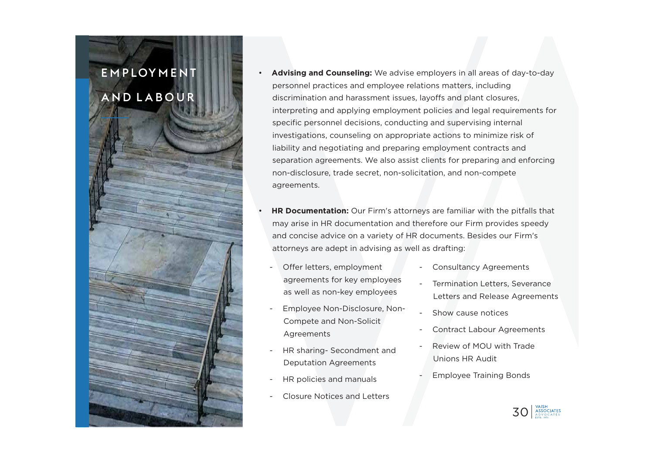- • **Advising and Counseling:** We advise employers in all areas of day-to-day personnel practices and employee relations matters, including discrimination and harassment issues, layoffs and plant closures, interpreting and applying employment policies and legal requirements for specific personnel decisions, conducting and supervising internal investigations, counseling on appropriate actions to minimize risk of liability and negotiating and preparing employment contracts and separation agreements. We also assist clients for preparing and enforcing non-disclosure, trade secret, non-solicitation, and non-compete agreements.
- • **HR Documentation:** Our Firm's attorneys are familiar with the pitfalls that may arise in HR documentation and therefore our Firm provides speedy and concise advice on a variety of HR documents. Besides our Firm's attorneys are adept in advising as well as drafting:
	- Offer letters, employment agreements for key employees as well as non-key employees
	- Employee Non-Disclosure, Non-Compete and Non-Solicit Agreements
	- HR sharing- Secondment and Deputation Agreements
	- HR policies and manuals
	- Closure Notices and Letters
- Consultancy Agreements
- Termination Letters, Severance Letters and Release Agreements
- Show cause notices
- Contract Labour Agreements
- Review of MOU with Trade Unions HR Audit
- **Employee Training Bonds**

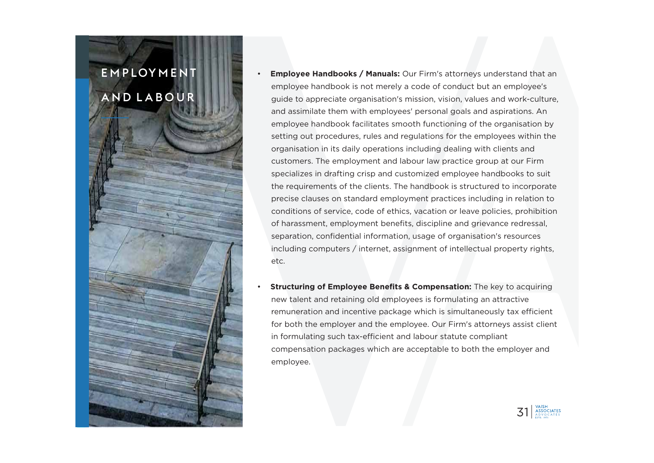- • **Employee Handbooks / Manuals:** Our Firm's attorneys understand that an employee handbook is not merely a code of conduct but an employee's guide to appreciate organisation's mission, vision, values and work-culture, and assimilate them with employees' personal goals and aspirations. An employee handbook facilitates smooth functioning of the organisation by setting out procedures, rules and regulations for the employees within the organisation in its daily operations including dealing with clients and customers. The employment and labour law practice group at our Firm specializes in drafting crisp and customized employee handbooks to suit the requirements of the clients. The handbook is structured to incorporate precise clauses on standard employment practices including in relation to conditions of service, code of ethics, vacation or leave policies, prohibition of harassment, employment benefits, discipline and grievance redressal, separation, confidential information, usage of organisation's resources including computers / internet, assignment of intellectual property rights, etc.
- • **Structuring of Employee Benefits & Compensation:** The key to acquiring new talent and retaining old employees is formulating an attractive remuneration and incentive package which is simultaneously tax efficient for both the employer and the employee. Our Firm's attorneys assist client in formulating such tax-efficient and labour statute compliant compensation packages which are acceptable to both the employer and employee.

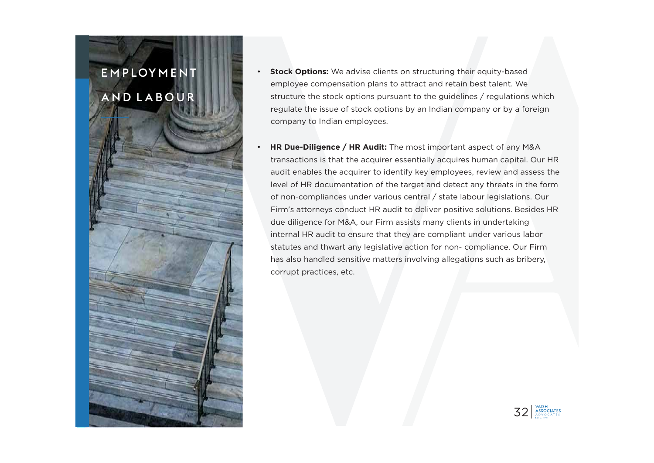•

- **Stock Options:** We advise clients on structuring their equity-based employee compensation plans to attract and retain best talent. We structure the stock options pursuant to the guidelines / regulations which regulate the issue of stock options by an Indian company or by a foreign company to Indian employees.
- **HR Due-Diligence / HR Audit:** The most important aspect of any M&A transactions is that the acquirer essentially acquires human capital. Our HR audit enables the acquirer to identify key employees, review and assess the level of HR documentation of the target and detect any threats in the form of non-compliances under various central / state labour legislations. Our Firm's attorneys conduct HR audit to deliver positive solutions. Besides HR due diligence for M&A, our Firm assists many clients in undertaking internal HR audit to ensure that they are compliant under various labor statutes and thwart any legislative action for non- compliance. Our Firm has also handled sensitive matters involving allegations such as bribery, corrupt practices, etc.

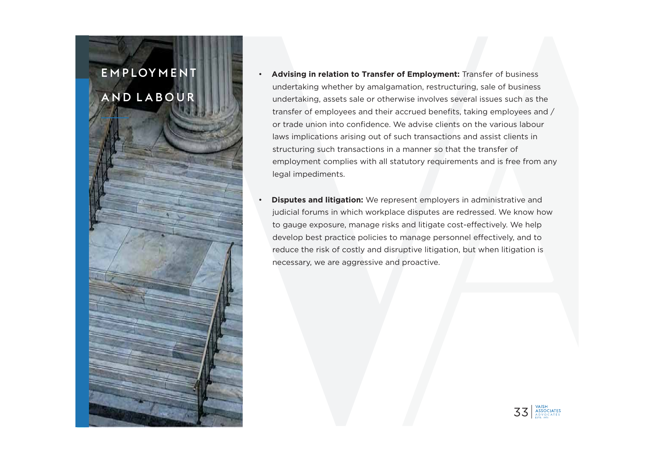- • **Advising in relation to Transfer of Employment:** Transfer of business undertaking whether by amalgamation, restructuring, sale of business undertaking, assets sale or otherwise involves several issues such as the transfer of employees and their accrued benefits, taking employees and / or trade union into confidence. We advise clients on the various labour laws implications arising out of such transactions and assist clients in structuring such transactions in a manner so that the transfer of employment complies with all statutory requirements and is free from any legal impediments.
- • **Disputes and litigation:** We represent employers in administrative and judicial forums in which workplace disputes are redressed. We know how to gauge exposure, manage risks and litigate cost-effectively. We help develop best practice policies to manage personnel effectively, and to reduce the risk of costly and disruptive litigation, but when litigation is necessary, we are aggressive and proactive.

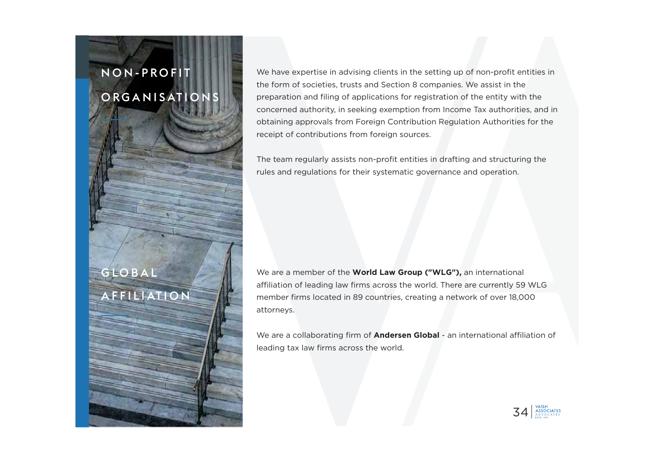# N O N - P R O F I T O RG A N I S AT I O N S

GLOBAL

A F F I L I AT I O N

We have expertise in advising clients in the setting up of non-profit entities in the form of societies, trusts and Section 8 companies. We assist in the preparation and filing of applications for registration of the entity with the concerned authority, in seeking exemption from Income Tax authorities, and in obtaining approvals from Foreign Contribution Regulation Authorities for the receipt of contributions from foreign sources.

The team regularly assists non-profit entities in drafting and structuring the rules and regulations for their systematic governance and operation.

We are a member of the **World Law Group ("WLG"),** an international affiliation of leading law firms across the world. There are currently 59 WLG member firms located in 89 countries, creating a network of over 18,000 attorneys.

We are a collaborating firm of **Andersen Global** - an international affiliation of leading tax law firms across the world.

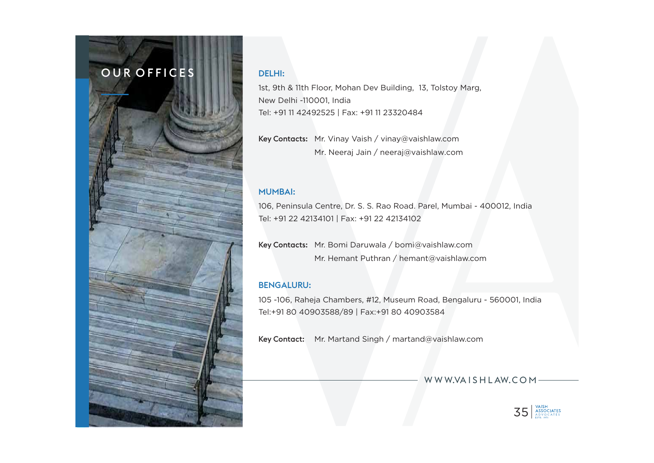### OUR OFFICES

#### DELHI:

1st, 9th & 11th Floor, Mohan Dev Building, 13, Tolstoy Marg, New Delhi -110001, India Tel: +91 11 42492525 | Fax: +91 11 23320484

Key Contacts: Mr. Vinay Vaish / vinay@vaishlaw.com Mr. Neeraj Jain / neeraj@vaishlaw.com

#### MUMBAI:

106, Peninsula Centre, Dr. S. S. Rao Road. Parel, Mumbai - 400012, India Tel: +91 22 42134101 | Fax: +91 22 42134102

Key Contacts: Mr. Bomi Daruwala / bomi@vaishlaw.com Mr. Hemant Puthran / hemant@vaishlaw.com

#### BENGALURU:

105 -106, Raheja Chambers, #12, Museum Road, Bengaluru - 560001, India Tel:+91 80 40903588/89 | Fax:+91 80 40903584

Key Contact: Mr. Martand Singh / martand@vaishlaw.com

WWW.VAISHLAW.COM-